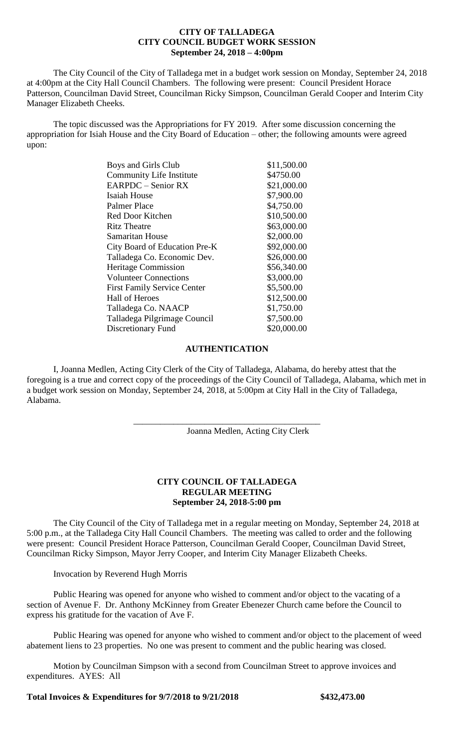## **CITY OF TALLADEGA CITY COUNCIL BUDGET WORK SESSION September 24, 2018 – 4:00pm**

The City Council of the City of Talladega met in a budget work session on Monday, September 24, 2018 at 4:00pm at the City Hall Council Chambers. The following were present: Council President Horace Patterson, Councilman David Street, Councilman Ricky Simpson, Councilman Gerald Cooper and Interim City Manager Elizabeth Cheeks.

The topic discussed was the Appropriations for FY 2019. After some discussion concerning the appropriation for Isiah House and the City Board of Education – other; the following amounts were agreed upon:

| Boys and Girls Club                | \$11,500.00 |
|------------------------------------|-------------|
| <b>Community Life Institute</b>    | \$4750.00   |
| EARPDC - Senior RX                 | \$21,000.00 |
| Isaiah House                       | \$7,900.00  |
| Palmer Place                       | \$4,750.00  |
| Red Door Kitchen                   | \$10,500.00 |
| <b>Ritz Theatre</b>                | \$63,000.00 |
| Samaritan House                    | \$2,000.00  |
| City Board of Education Pre-K      | \$92,000.00 |
| Talladega Co. Economic Dev.        | \$26,000.00 |
| <b>Heritage Commission</b>         | \$56,340.00 |
| <b>Volunteer Connections</b>       | \$3,000.00  |
| <b>First Family Service Center</b> | \$5,500.00  |
| <b>Hall of Heroes</b>              | \$12,500.00 |
| Talladega Co. NAACP                | \$1,750.00  |
| Talladega Pilgrimage Council       | \$7,500.00  |
| Discretionary Fund                 | \$20,000.00 |

## **AUTHENTICATION**

I, Joanna Medlen, Acting City Clerk of the City of Talladega, Alabama, do hereby attest that the foregoing is a true and correct copy of the proceedings of the City Council of Talladega, Alabama, which met in a budget work session on Monday, September 24, 2018, at 5:00pm at City Hall in the City of Talladega, Alabama.

\_\_\_\_\_\_\_\_\_\_\_\_\_\_\_\_\_\_\_\_\_\_\_\_\_\_\_\_\_\_\_\_\_\_\_\_\_\_\_\_\_\_

Joanna Medlen, Acting City Clerk

## **CITY COUNCIL OF TALLADEGA REGULAR MEETING September 24, 2018-5:00 pm**

The City Council of the City of Talladega met in a regular meeting on Monday, September 24, 2018 at 5:00 p.m., at the Talladega City Hall Council Chambers. The meeting was called to order and the following were present: Council President Horace Patterson, Councilman Gerald Cooper, Councilman David Street, Councilman Ricky Simpson, Mayor Jerry Cooper, and Interim City Manager Elizabeth Cheeks.

Invocation by Reverend Hugh Morris

Public Hearing was opened for anyone who wished to comment and/or object to the vacating of a section of Avenue F. Dr. Anthony McKinney from Greater Ebenezer Church came before the Council to express his gratitude for the vacation of Ave F.

Public Hearing was opened for anyone who wished to comment and/or object to the placement of weed abatement liens to 23 properties. No one was present to comment and the public hearing was closed.

Motion by Councilman Simpson with a second from Councilman Street to approve invoices and expenditures. AYES: All

**Total Invoices & Expenditures for 9/7/2018 to 9/21/2018 \$432,473.00**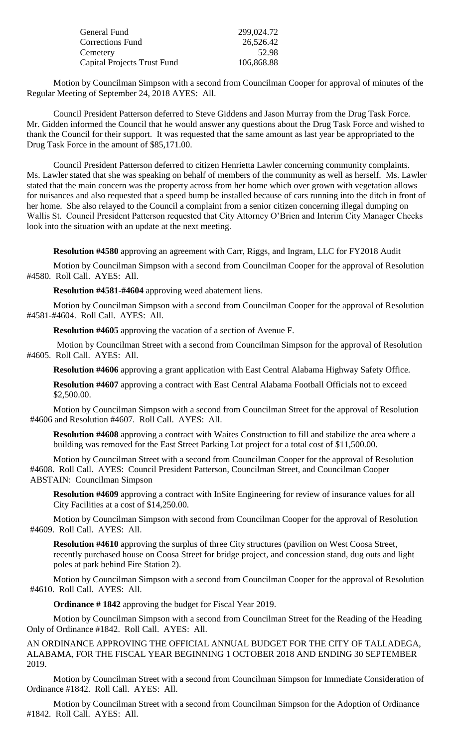| General Fund                       | 299,024.72 |
|------------------------------------|------------|
| <b>Corrections Fund</b>            | 26,526.42  |
| Cemetery                           | 52.98      |
| <b>Capital Projects Trust Fund</b> | 106,868.88 |

Motion by Councilman Simpson with a second from Councilman Cooper for approval of minutes of the Regular Meeting of September 24, 2018 AYES: All.

Council President Patterson deferred to Steve Giddens and Jason Murray from the Drug Task Force. Mr. Gidden informed the Council that he would answer any questions about the Drug Task Force and wished to thank the Council for their support. It was requested that the same amount as last year be appropriated to the Drug Task Force in the amount of \$85,171.00.

Council President Patterson deferred to citizen Henrietta Lawler concerning community complaints. Ms. Lawler stated that she was speaking on behalf of members of the community as well as herself. Ms. Lawler stated that the main concern was the property across from her home which over grown with vegetation allows for nuisances and also requested that a speed bump be installed because of cars running into the ditch in front of her home. She also relayed to the Council a complaint from a senior citizen concerning illegal dumping on Wallis St. Council President Patterson requested that City Attorney O'Brien and Interim City Manager Cheeks look into the situation with an update at the next meeting.

**Resolution #4580** approving an agreement with Carr, Riggs, and Ingram, LLC for FY2018 Audit

Motion by Councilman Simpson with a second from Councilman Cooper for the approval of Resolution #4580. Roll Call. AYES: All.

**Resolution #4581-#4604** approving weed abatement liens.

Motion by Councilman Simpson with a second from Councilman Cooper for the approval of Resolution #4581-#4604. Roll Call. AYES: All.

**Resolution #4605** approving the vacation of a section of Avenue F.

Motion by Councilman Street with a second from Councilman Simpson for the approval of Resolution #4605. Roll Call. AYES: All.

**Resolution #4606** approving a grant application with East Central Alabama Highway Safety Office.

**Resolution #4607** approving a contract with East Central Alabama Football Officials not to exceed \$2,500.00.

Motion by Councilman Simpson with a second from Councilman Street for the approval of Resolution #4606 and Resolution #4607. Roll Call. AYES: All.

**Resolution #4608** approving a contract with Waites Construction to fill and stabilize the area where a building was removed for the East Street Parking Lot project for a total cost of \$11,500.00.

Motion by Councilman Street with a second from Councilman Cooper for the approval of Resolution #4608. Roll Call. AYES: Council President Patterson, Councilman Street, and Councilman Cooper ABSTAIN: Councilman Simpson

**Resolution #4609** approving a contract with InSite Engineering for review of insurance values for all City Facilities at a cost of \$14,250.00.

Motion by Councilman Simpson with second from Councilman Cooper for the approval of Resolution #4609. Roll Call. AYES: All.

**Resolution #4610** approving the surplus of three City structures (pavilion on West Coosa Street, recently purchased house on Coosa Street for bridge project, and concession stand, dug outs and light poles at park behind Fire Station 2).

Motion by Councilman Simpson with a second from Councilman Cooper for the approval of Resolution #4610. Roll Call. AYES: All.

**Ordinance # 1842** approving the budget for Fiscal Year 2019.

Motion by Councilman Simpson with a second from Councilman Street for the Reading of the Heading Only of Ordinance #1842. Roll Call. AYES: All.

AN ORDINANCE APPROVING THE OFFICIAL ANNUAL BUDGET FOR THE CITY OF TALLADEGA, ALABAMA, FOR THE FISCAL YEAR BEGINNING 1 OCTOBER 2018 AND ENDING 30 SEPTEMBER 2019.

Motion by Councilman Street with a second from Councilman Simpson for Immediate Consideration of Ordinance #1842. Roll Call. AYES: All.

Motion by Councilman Street with a second from Councilman Simpson for the Adoption of Ordinance #1842. Roll Call. AYES: All.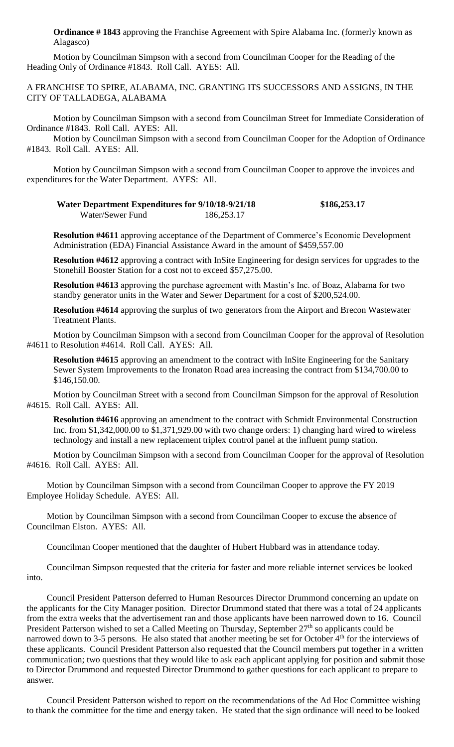**Ordinance # 1843** approving the Franchise Agreement with Spire Alabama Inc. (formerly known as Alagasco)

Motion by Councilman Simpson with a second from Councilman Cooper for the Reading of the Heading Only of Ordinance #1843. Roll Call. AYES: All.

A FRANCHISE TO SPIRE, ALABAMA, INC. GRANTING ITS SUCCESSORS AND ASSIGNS, IN THE CITY OF TALLADEGA, ALABAMA

Motion by Councilman Simpson with a second from Councilman Street for Immediate Consideration of Ordinance #1843. Roll Call. AYES: All.

Motion by Councilman Simpson with a second from Councilman Cooper for the Adoption of Ordinance #1843. Roll Call. AYES: All.

Motion by Councilman Simpson with a second from Councilman Cooper to approve the invoices and expenditures for the Water Department. AYES: All.

| Water Department Expenditures for 9/10/18-9/21/18 |            | \$186,253.17 |
|---------------------------------------------------|------------|--------------|
| Water/Sewer Fund                                  | 186,253.17 |              |

**Resolution #4611** approving acceptance of the Department of Commerce's Economic Development Administration (EDA) Financial Assistance Award in the amount of \$459,557.00

**Resolution #4612** approving a contract with InSite Engineering for design services for upgrades to the Stonehill Booster Station for a cost not to exceed \$57,275.00.

**Resolution #4613** approving the purchase agreement with Mastin's Inc. of Boaz, Alabama for two standby generator units in the Water and Sewer Department for a cost of \$200,524.00.

**Resolution #4614** approving the surplus of two generators from the Airport and Brecon Wastewater Treatment Plants.

Motion by Councilman Simpson with a second from Councilman Cooper for the approval of Resolution #4611 to Resolution #4614. Roll Call. AYES: All.

**Resolution #4615** approving an amendment to the contract with InSite Engineering for the Sanitary Sewer System Improvements to the Ironaton Road area increasing the contract from \$134,700.00 to \$146,150.00.

Motion by Councilman Street with a second from Councilman Simpson for the approval of Resolution #4615. Roll Call. AYES: All.

**Resolution #4616** approving an amendment to the contract with Schmidt Environmental Construction Inc. from \$1,342,000.00 to \$1,371,929.00 with two change orders: 1) changing hard wired to wireless technology and install a new replacement triplex control panel at the influent pump station.

Motion by Councilman Simpson with a second from Councilman Cooper for the approval of Resolution #4616. Roll Call. AYES: All.

Motion by Councilman Simpson with a second from Councilman Cooper to approve the FY 2019 Employee Holiday Schedule. AYES: All.

Motion by Councilman Simpson with a second from Councilman Cooper to excuse the absence of Councilman Elston. AYES: All.

Councilman Cooper mentioned that the daughter of Hubert Hubbard was in attendance today.

Councilman Simpson requested that the criteria for faster and more reliable internet services be looked into.

Council President Patterson deferred to Human Resources Director Drummond concerning an update on the applicants for the City Manager position. Director Drummond stated that there was a total of 24 applicants from the extra weeks that the advertisement ran and those applicants have been narrowed down to 16. Council President Patterson wished to set a Called Meeting on Thursday, September 27<sup>th</sup> so applicants could be narrowed down to 3-5 persons. He also stated that another meeting be set for October 4<sup>th</sup> for the interviews of these applicants. Council President Patterson also requested that the Council members put together in a written communication; two questions that they would like to ask each applicant applying for position and submit those to Director Drummond and requested Director Drummond to gather questions for each applicant to prepare to answer.

Council President Patterson wished to report on the recommendations of the Ad Hoc Committee wishing to thank the committee for the time and energy taken. He stated that the sign ordinance will need to be looked